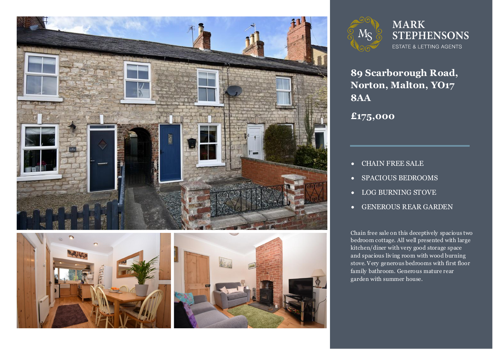







**89 Scarborough Road, Norton, Malton, YO17 8AA**

**£175,000**

- CHAIN FREE SALE
- SPACIOUS BEDROOMS
- LOG BURNING STOVE
- GENEROUS REAR GARDEN

**2 bedroom Cottage located in Norton.** bedroom cottage. All well presented with large family bathroom. Generous mature rear Chain free sale on this deceptively spacious two kitchen/diner with very good storage space and spacious living room with wood burning stove. Very generous bedrooms with first floor garden with summer house.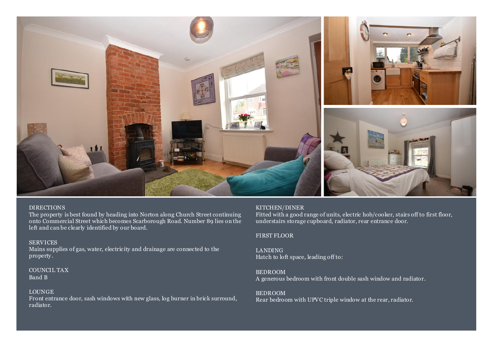

## DIRECTIONS

The property is best found by heading into Norton along Church Street continuing onto Commercial Street which becomes Scarborough Road. Number 89 lies on the left and can be clearly identified by our board.

SERVICES Mains supplies of gas, water, electric ity and drainage are connected to the property .

COUNCIL TAX Band B

# LOUNGE

Front entrance door, sash windows with new glass, log burner in brick surround, radiator.

## KITCHEN/DINER

Fitted with a good range of units, electric hob/cooker, stairs off to first floor, understairs storage cupboard, radiator, rear entrance door.

# FIRST FLOOR

LANDING Hatch to loft space, leading off to:

BEDROOM A generous bedroom with front double sash window and radiator.

### BEDROOM

Rear bedroom with UPVC triple window at the rear, radiator.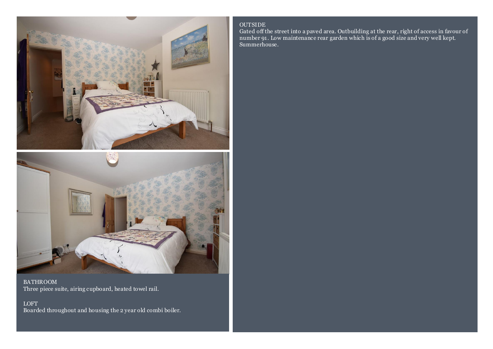



BATHROOM Three piece suite, airing cupboard, heated towel rail.

LOFT Boarded throughout and housing the 2 year old combi boiler.

# OUTSIDE

Gated off the street into a paved area. Outbuilding at the rear, right of access in favour of number 91. Low maintenance rear garden which is of a good size and very well kept. Summerhouse.